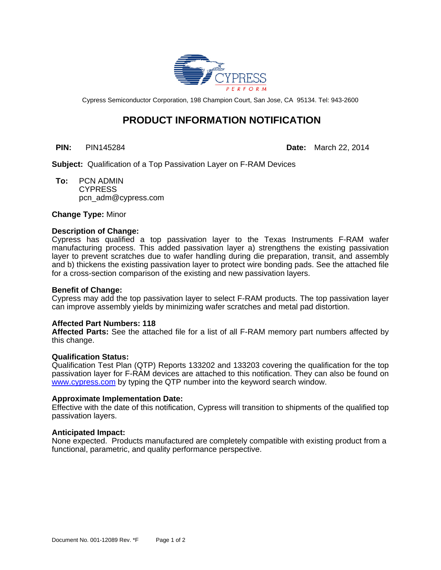

Cypress Semiconductor Corporation, 198 Champion Court, San Jose, CA 95134. Tel: 943-2600

# **PRODUCT INFORMATION NOTIFICATION**

**PIN:** PIN145284 **Date:** March 22, 2014

**Subject:** Qualification of a Top Passivation Layer on F-RAM Devices

**To:** PCN ADMIN **CYPRESS** pcn\_adm@cypress.com

**Change Type:** Minor

### **Description of Change:**

Cypress has qualified a top passivation layer to the Texas Instruments F-RAM wafer manufacturing process. This added passivation layer a) strengthens the existing passivation layer to prevent scratches due to wafer handling during die preparation, transit, and assembly and b) thickens the existing passivation layer to protect wire bonding pads. See the attached file for a cross-section comparison of the existing and new passivation layers.

#### **Benefit of Change:**

Cypress may add the top passivation layer to select F-RAM products. The top passivation layer can improve assembly yields by minimizing wafer scratches and metal pad distortion.

#### **Affected Part Numbers: 118**

**Affected Parts:** See the attached file for a list of all F-RAM memory part numbers affected by this change.

#### **Qualification Status:**

Qualification Test Plan (QTP) Reports 133202 and 133203 covering the qualification for the top passivation layer for F-RAM devices are attached to this notification. They can also be found on <www.cypress.com> by typing the QTP number into the keyword search window.

#### **Approximate Implementation Date:**

Effective with the date of this notification, Cypress will transition to shipments of the qualified top passivation layers.

#### **Anticipated Impact:**

None expected. Products manufactured are completely compatible with existing product from a functional, parametric, and quality performance perspective.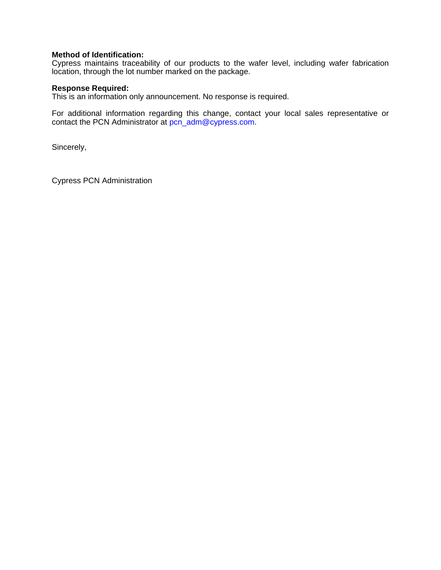# **Method of Identification:**

Cypress maintains traceability of our products to the wafer level, including wafer fabrication location, through the lot number marked on the package.

## **Response Required:**

This is an information only announcement. No response is required.

For additional information regarding this change, contact your local sales representative or contact the PCN Administrator at [pcn\\_adm@cypress.com](mailto:pcn_adm%40cypress.com).

Sincerely,

Cypress PCN Administration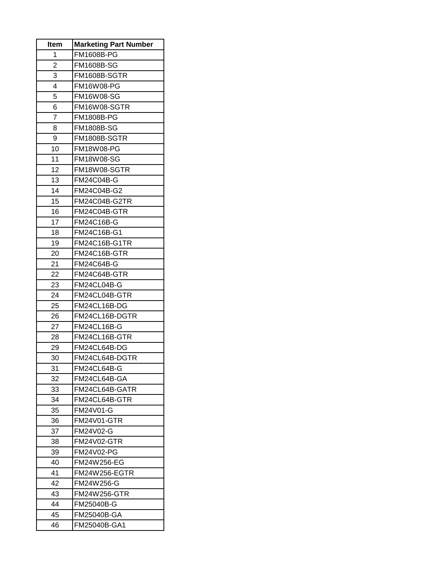| Item           | <b>Marketing Part Number</b> |
|----------------|------------------------------|
| 1              | <b>FM1608B-PG</b>            |
| $\overline{2}$ | <b>FM1608B-SG</b>            |
| 3              | FM1608B-SGTR                 |
| 4              | <b>FM16W08-PG</b>            |
| 5              | FM16W08-SG                   |
| 6              | FM16W08-SGTR                 |
| 7              | <b>FM1808B-PG</b>            |
| 8              | <b>FM1808B-SG</b>            |
| 9              | FM1808B-SGTR                 |
| 10             | FM18W08-PG                   |
| 11             | <b>FM18W08-SG</b>            |
| 12             | FM18W08-SGTR                 |
| 13             | <b>FM24C04B-G</b>            |
| 14             | FM24C04B-G2                  |
| 15             | FM24C04B-G2TR                |
| 16             | FM24C04B-GTR                 |
| 17             | FM24C16B-G                   |
| 18             | FM24C16B-G1                  |
| 19             | FM24C16B-G1TR                |
| 20             | FM24C16B-GTR                 |
| 21             | <b>FM24C64B-G</b>            |
| 22             | FM24C64B-GTR                 |
| 23             | FM24CL04B-G                  |
| 24             | FM24CL04B-GTR                |
| 25             | FM24CL16B-DG                 |
| 26             | FM24CL16B-DGTR               |
| 27             | FM24CL16B-G                  |
| 28             | FM24CL16B-GTR                |
| 29             | FM24CL64B-DG                 |
| 30             | FM24CL64B-DGTR               |
| 31             | FM24CL64B-G                  |
| 32             | FM24CL64B-GA                 |
| 33             | FM24CL64B-GATR               |
| 34             | FM24CL64B-GTR                |
| 35             | <b>FM24V01-G</b>             |
| 36             | FM24V01-GTR                  |
| 37             | FM24V02-G                    |
| 38             | <b>FM24V02-GTR</b>           |
| 39             | <b>FM24V02-PG</b>            |
| 40             | FM24W256-EG                  |
| 41<br>42       | FM24W256-EGTR<br>FM24W256-G  |
| 43             | FM24W256-GTR                 |
| 44             | FM25040B-G                   |
| 45             | FM25040B-GA                  |
|                |                              |
| 46             | FM25040B-GA1                 |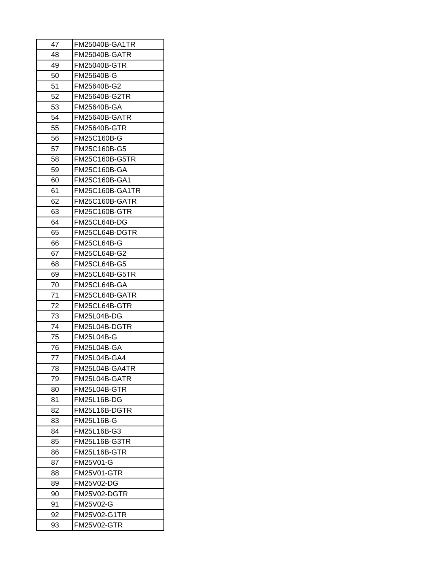| 47 | FM25040B-GA1TR       |
|----|----------------------|
| 48 | FM25040B-GATR        |
| 49 | <b>FM25040B-GTR</b>  |
| 50 | FM25640B-G           |
| 51 | FM25640B-G2          |
| 52 | FM25640B-G2TR        |
| 53 | FM25640B-GA          |
| 54 | FM25640B-GATR        |
| 55 | <b>FM25640B-GTR</b>  |
| 56 | FM25C160B-G          |
| 57 | FM25C160B-G5         |
| 58 | FM25C160B-G5TR       |
| 59 | FM25C160B-GA         |
| 60 | FM25C160B-GA1        |
| 61 | FM25C160B-GA1TR      |
| 62 | FM25C160B-GATR       |
| 63 | <b>FM25C160B-GTR</b> |
| 64 | FM25CL64B-DG         |
| 65 | FM25CL64B-DGTR       |
| 66 | FM25CL64B-G          |
| 67 | FM25CL64B-G2         |
| 68 | <b>FM25CL64B-G5</b>  |
| 69 | FM25CL64B-G5TR       |
| 70 | FM25CL64B-GA         |
| 71 | FM25CL64B-GATR       |
| 72 | FM25CL64B-GTR        |
| 73 | FM25L04B-DG          |
| 74 | FM25L04B-DGTR        |
| 75 | <b>FM25L04B-G</b>    |
| 76 | FM25L04B-GA          |
| 77 | <b>FM25L04B-GA4</b>  |
| 78 | FM25L04B-GA4TR       |
| 79 | FM25L04B-GATR        |
| 80 | FM25L04B-GTR         |
| 81 | FM25L16B-DG          |
| 82 | FM25L16B-DGTR        |
| 83 | FM25L16B-G           |
| 84 | FM25L16B-G3          |
| 85 | <b>FM25L16B-G3TR</b> |
| 86 | FM25L16B-GTR         |
| 87 | FM25V01-G            |
| 88 | FM25V01-GTR          |
| 89 | FM25V02-DG           |
| 90 | FM25V02-DGTR         |
| 91 | <b>FM25V02-G</b>     |
| 92 | <b>FM25V02-G1TR</b>  |
| 93 | FM25V02-GTR          |